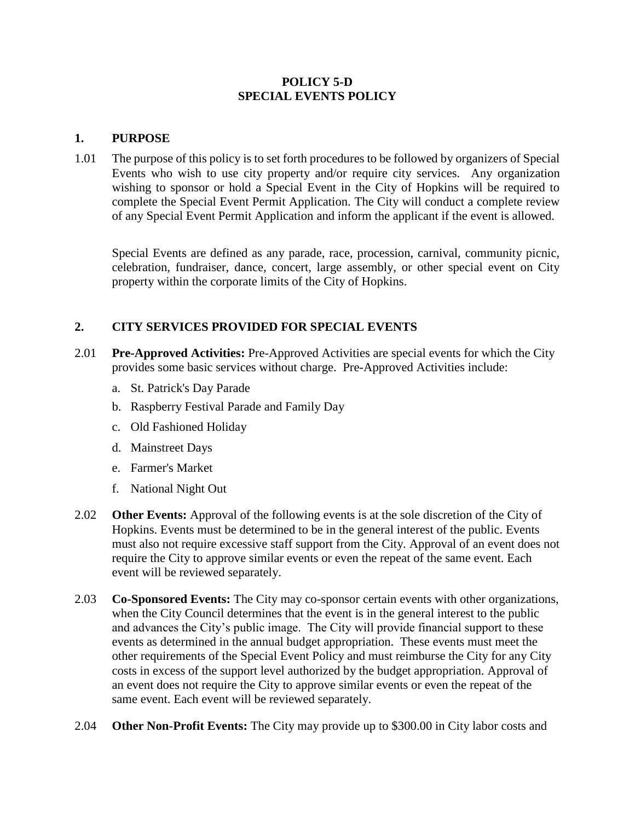#### **POLICY 5-D SPECIAL EVENTS POLICY**

#### **1. PURPOSE**

1.01 The purpose of this policy is to set forth procedures to be followed by organizers of Special Events who wish to use city property and/or require city services. Any organization wishing to sponsor or hold a Special Event in the City of Hopkins will be required to complete the Special Event Permit Application. The City will conduct a complete review of any Special Event Permit Application and inform the applicant if the event is allowed.

Special Events are defined as any parade, race, procession, carnival, community picnic, celebration, fundraiser, dance, concert, large assembly, or other special event on City property within the corporate limits of the City of Hopkins.

# **2. CITY SERVICES PROVIDED FOR SPECIAL EVENTS**

- 2.01 **Pre-Approved Activities:** Pre-Approved Activities are special events for which the City provides some basic services without charge. Pre-Approved Activities include:
	- a. St. Patrick's Day Parade
	- b. Raspberry Festival Parade and Family Day
	- c. Old Fashioned Holiday
	- d. Mainstreet Days
	- e. Farmer's Market
	- f. National Night Out
- 2.02 **Other Events:** Approval of the following events is at the sole discretion of the City of Hopkins. Events must be determined to be in the general interest of the public. Events must also not require excessive staff support from the City. Approval of an event does not require the City to approve similar events or even the repeat of the same event. Each event will be reviewed separately.
- 2.03 **Co-Sponsored Events:** The City may co-sponsor certain events with other organizations, when the City Council determines that the event is in the general interest to the public and advances the City's public image. The City will provide financial support to these events as determined in the annual budget appropriation. These events must meet the other requirements of the Special Event Policy and must reimburse the City for any City costs in excess of the support level authorized by the budget appropriation. Approval of an event does not require the City to approve similar events or even the repeat of the same event. Each event will be reviewed separately.
- 2.04 **Other Non-Profit Events:** The City may provide up to \$300.00 in City labor costs and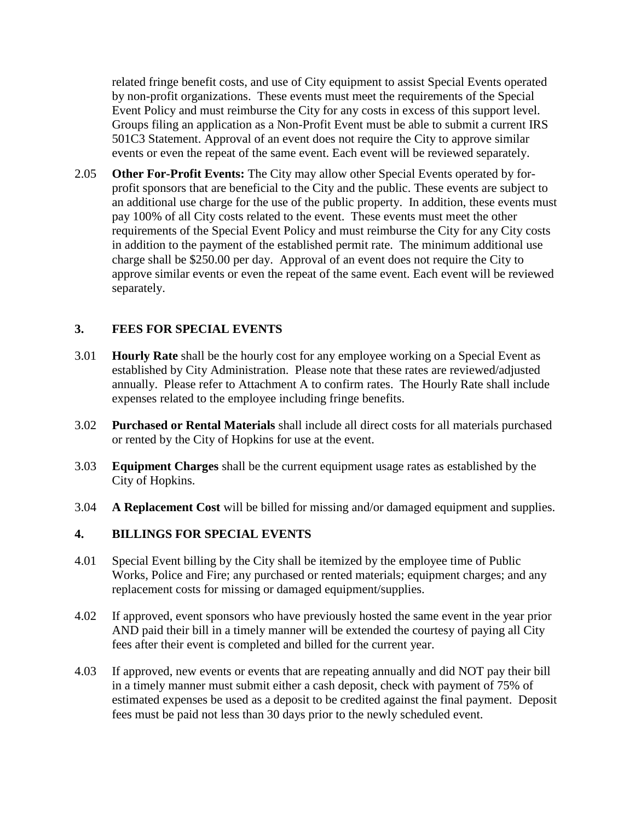related fringe benefit costs, and use of City equipment to assist Special Events operated by non-profit organizations. These events must meet the requirements of the Special Event Policy and must reimburse the City for any costs in excess of this support level. Groups filing an application as a Non-Profit Event must be able to submit a current IRS 501C3 Statement. Approval of an event does not require the City to approve similar events or even the repeat of the same event. Each event will be reviewed separately.

2.05 **Other For-Profit Events:** The City may allow other Special Events operated by forprofit sponsors that are beneficial to the City and the public. These events are subject to an additional use charge for the use of the public property. In addition, these events must pay 100% of all City costs related to the event. These events must meet the other requirements of the Special Event Policy and must reimburse the City for any City costs in addition to the payment of the established permit rate. The minimum additional use charge shall be \$250.00 per day. Approval of an event does not require the City to approve similar events or even the repeat of the same event. Each event will be reviewed separately.

### **3. FEES FOR SPECIAL EVENTS**

- 3.01 **Hourly Rate** shall be the hourly cost for any employee working on a Special Event as established by City Administration. Please note that these rates are reviewed/adjusted annually. Please refer to Attachment A to confirm rates. The Hourly Rate shall include expenses related to the employee including fringe benefits.
- 3.02 **Purchased or Rental Materials** shall include all direct costs for all materials purchased or rented by the City of Hopkins for use at the event.
- 3.03 **Equipment Charges** shall be the current equipment usage rates as established by the City of Hopkins.
- 3.04 **A Replacement Cost** will be billed for missing and/or damaged equipment and supplies.

### **4. BILLINGS FOR SPECIAL EVENTS**

- 4.01 Special Event billing by the City shall be itemized by the employee time of Public Works, Police and Fire; any purchased or rented materials; equipment charges; and any replacement costs for missing or damaged equipment/supplies.
- 4.02 If approved, event sponsors who have previously hosted the same event in the year prior AND paid their bill in a timely manner will be extended the courtesy of paying all City fees after their event is completed and billed for the current year.
- 4.03 If approved, new events or events that are repeating annually and did NOT pay their bill in a timely manner must submit either a cash deposit, check with payment of 75% of estimated expenses be used as a deposit to be credited against the final payment. Deposit fees must be paid not less than 30 days prior to the newly scheduled event.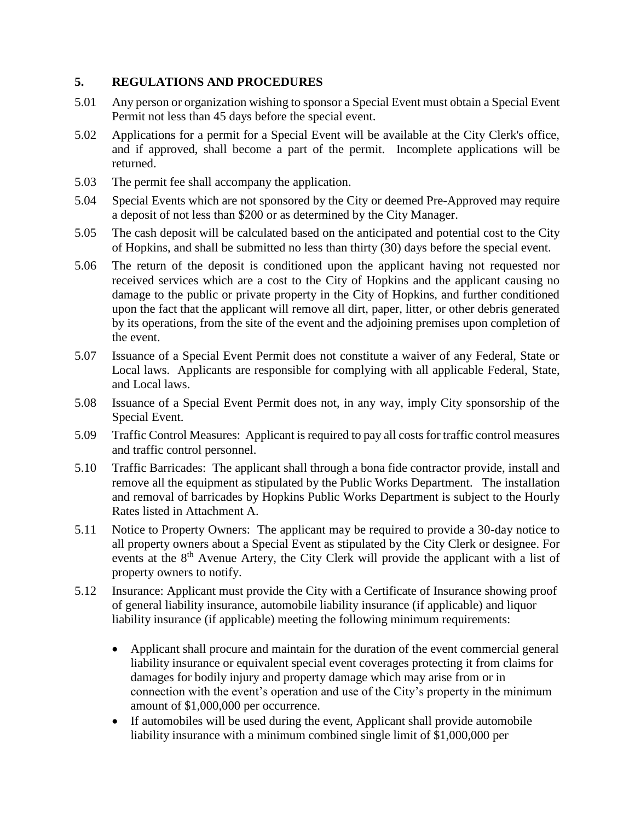## **5. REGULATIONS AND PROCEDURES**

- 5.01 Any person or organization wishing to sponsor a Special Event must obtain a Special Event Permit not less than 45 days before the special event.
- 5.02 Applications for a permit for a Special Event will be available at the City Clerk's office, and if approved, shall become a part of the permit. Incomplete applications will be returned.
- 5.03 The permit fee shall accompany the application.
- 5.04 Special Events which are not sponsored by the City or deemed Pre-Approved may require a deposit of not less than \$200 or as determined by the City Manager.
- 5.05 The cash deposit will be calculated based on the anticipated and potential cost to the City of Hopkins, and shall be submitted no less than thirty (30) days before the special event.
- 5.06 The return of the deposit is conditioned upon the applicant having not requested nor received services which are a cost to the City of Hopkins and the applicant causing no damage to the public or private property in the City of Hopkins, and further conditioned upon the fact that the applicant will remove all dirt, paper, litter, or other debris generated by its operations, from the site of the event and the adjoining premises upon completion of the event.
- 5.07 Issuance of a Special Event Permit does not constitute a waiver of any Federal, State or Local laws. Applicants are responsible for complying with all applicable Federal, State, and Local laws.
- 5.08 Issuance of a Special Event Permit does not, in any way, imply City sponsorship of the Special Event.
- 5.09 Traffic Control Measures: Applicant is required to pay all costs for traffic control measures and traffic control personnel.
- 5.10 Traffic Barricades: The applicant shall through a bona fide contractor provide, install and remove all the equipment as stipulated by the Public Works Department. The installation and removal of barricades by Hopkins Public Works Department is subject to the Hourly Rates listed in Attachment A.
- 5.11 Notice to Property Owners: The applicant may be required to provide a 30-day notice to all property owners about a Special Event as stipulated by the City Clerk or designee. For events at the 8<sup>th</sup> Avenue Artery, the City Clerk will provide the applicant with a list of property owners to notify.
- 5.12 Insurance: Applicant must provide the City with a Certificate of Insurance showing proof of general liability insurance, automobile liability insurance (if applicable) and liquor liability insurance (if applicable) meeting the following minimum requirements:
	- Applicant shall procure and maintain for the duration of the event commercial general liability insurance or equivalent special event coverages protecting it from claims for damages for bodily injury and property damage which may arise from or in connection with the event's operation and use of the City's property in the minimum amount of \$1,000,000 per occurrence.
	- If automobiles will be used during the event, Applicant shall provide automobile liability insurance with a minimum combined single limit of \$1,000,000 per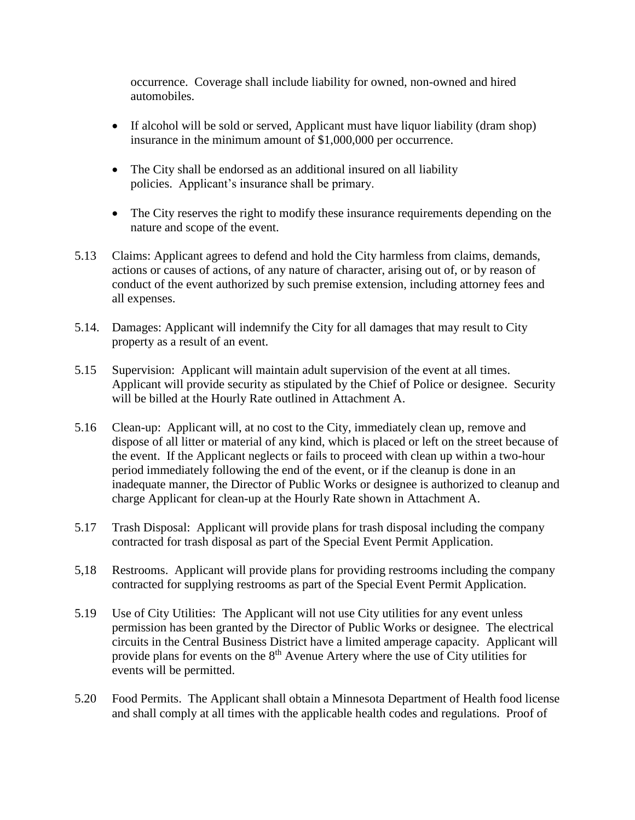occurrence. Coverage shall include liability for owned, non-owned and hired automobiles.

- If alcohol will be sold or served, Applicant must have liquor liability (dram shop) insurance in the minimum amount of \$1,000,000 per occurrence.
- The City shall be endorsed as an additional insured on all liability policies. Applicant's insurance shall be primary.
- The City reserves the right to modify these insurance requirements depending on the nature and scope of the event.
- 5.13 Claims: Applicant agrees to defend and hold the City harmless from claims, demands, actions or causes of actions, of any nature of character, arising out of, or by reason of conduct of the event authorized by such premise extension, including attorney fees and all expenses.
- 5.14. Damages: Applicant will indemnify the City for all damages that may result to City property as a result of an event.
- 5.15 Supervision: Applicant will maintain adult supervision of the event at all times. Applicant will provide security as stipulated by the Chief of Police or designee. Security will be billed at the Hourly Rate outlined in Attachment A.
- 5.16 Clean-up: Applicant will, at no cost to the City, immediately clean up, remove and dispose of all litter or material of any kind, which is placed or left on the street because of the event. If the Applicant neglects or fails to proceed with clean up within a two-hour period immediately following the end of the event, or if the cleanup is done in an inadequate manner, the Director of Public Works or designee is authorized to cleanup and charge Applicant for clean-up at the Hourly Rate shown in Attachment A.
- 5.17 Trash Disposal: Applicant will provide plans for trash disposal including the company contracted for trash disposal as part of the Special Event Permit Application.
- 5,18 Restrooms. Applicant will provide plans for providing restrooms including the company contracted for supplying restrooms as part of the Special Event Permit Application.
- 5.19 Use of City Utilities: The Applicant will not use City utilities for any event unless permission has been granted by the Director of Public Works or designee. The electrical circuits in the Central Business District have a limited amperage capacity. Applicant will provide plans for events on the 8<sup>th</sup> Avenue Artery where the use of City utilities for events will be permitted.
- 5.20 Food Permits. The Applicant shall obtain a Minnesota Department of Health food license and shall comply at all times with the applicable health codes and regulations. Proof of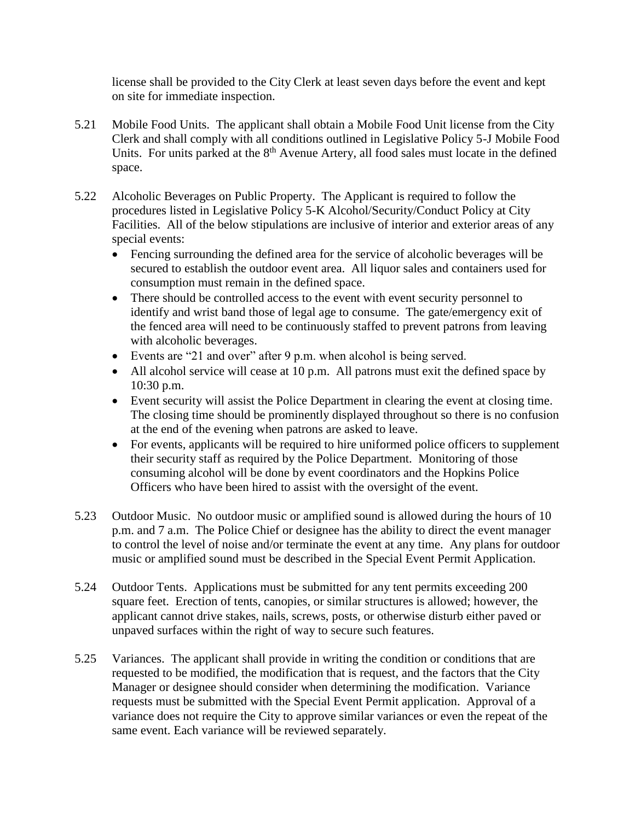license shall be provided to the City Clerk at least seven days before the event and kept on site for immediate inspection.

- 5.21 Mobile Food Units. The applicant shall obtain a Mobile Food Unit license from the City Clerk and shall comply with all conditions outlined in Legislative Policy 5-J Mobile Food Units. For units parked at the  $8<sup>th</sup>$  Avenue Artery, all food sales must locate in the defined space.
- 5.22 Alcoholic Beverages on Public Property. The Applicant is required to follow the procedures listed in Legislative Policy 5-K Alcohol/Security/Conduct Policy at City Facilities. All of the below stipulations are inclusive of interior and exterior areas of any special events:
	- Fencing surrounding the defined area for the service of alcoholic beverages will be secured to establish the outdoor event area. All liquor sales and containers used for consumption must remain in the defined space.
	- There should be controlled access to the event with event security personnel to identify and wrist band those of legal age to consume. The gate/emergency exit of the fenced area will need to be continuously staffed to prevent patrons from leaving with alcoholic beverages.
	- Events are "21 and over" after 9 p.m. when alcohol is being served.
	- All alcohol service will cease at 10 p.m. All patrons must exit the defined space by 10:30 p.m.
	- Event security will assist the Police Department in clearing the event at closing time. The closing time should be prominently displayed throughout so there is no confusion at the end of the evening when patrons are asked to leave.
	- For events, applicants will be required to hire uniformed police officers to supplement their security staff as required by the Police Department. Monitoring of those consuming alcohol will be done by event coordinators and the Hopkins Police Officers who have been hired to assist with the oversight of the event.
- 5.23 Outdoor Music. No outdoor music or amplified sound is allowed during the hours of 10 p.m. and 7 a.m. The Police Chief or designee has the ability to direct the event manager to control the level of noise and/or terminate the event at any time. Any plans for outdoor music or amplified sound must be described in the Special Event Permit Application.
- 5.24 Outdoor Tents. Applications must be submitted for any tent permits exceeding 200 square feet. Erection of tents, canopies, or similar structures is allowed; however, the applicant cannot drive stakes, nails, screws, posts, or otherwise disturb either paved or unpaved surfaces within the right of way to secure such features.
- 5.25 Variances. The applicant shall provide in writing the condition or conditions that are requested to be modified, the modification that is request, and the factors that the City Manager or designee should consider when determining the modification. Variance requests must be submitted with the Special Event Permit application. Approval of a variance does not require the City to approve similar variances or even the repeat of the same event. Each variance will be reviewed separately.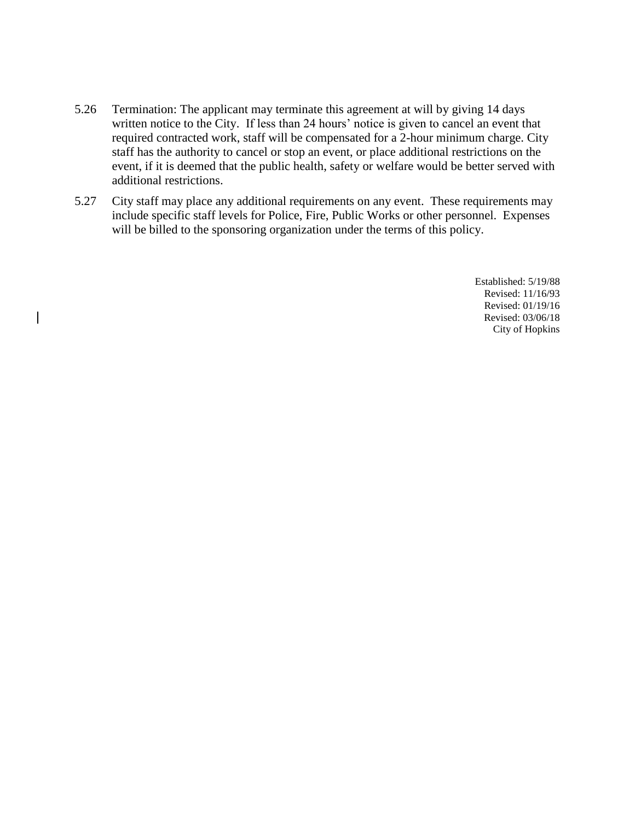- 5.26 Termination: The applicant may terminate this agreement at will by giving 14 days written notice to the City. If less than 24 hours' notice is given to cancel an event that required contracted work, staff will be compensated for a 2-hour minimum charge. City staff has the authority to cancel or stop an event, or place additional restrictions on the event, if it is deemed that the public health, safety or welfare would be better served with additional restrictions.
- 5.27 City staff may place any additional requirements on any event. These requirements may include specific staff levels for Police, Fire, Public Works or other personnel. Expenses will be billed to the sponsoring organization under the terms of this policy.

Established: 5/19/88 Revised: 11/16/93 Revised: 01/19/16 Revised: 03/06/18 City of Hopkins